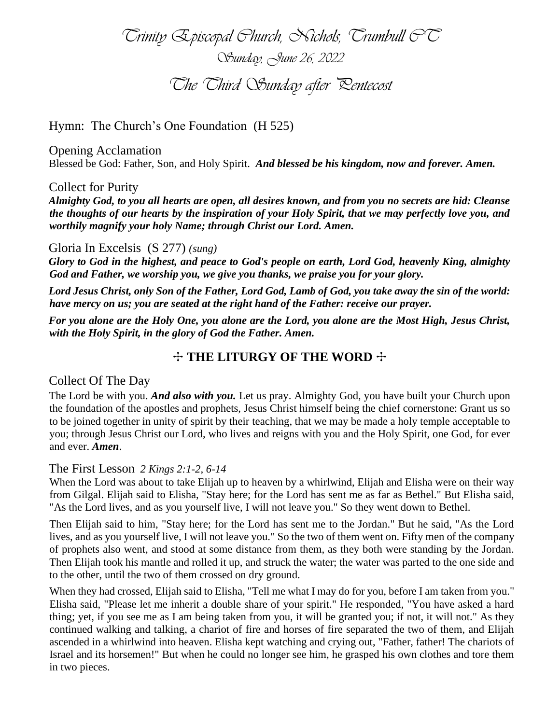*Trinity Episcopal Church, Nichols, Trumbull CT Sunday, June 26, 2022 The Third Sunday after Pentecost*

Hymn: The Church's One Foundation (H 525)

Opening Acclamation Blessed be God: Father, Son, and Holy Spirit. *And blessed be his kingdom, now and forever. Amen.*

#### Collect for Purity

*Almighty God, to you all hearts are open, all desires known, and from you no secrets are hid: Cleanse the thoughts of our hearts by the inspiration of your Holy Spirit, that we may perfectly love you, and worthily magnify your holy Name; through Christ our Lord. Amen.* 

#### Gloria In Excelsis (S 277) *(sung)*

*Glory to God in the highest, and peace to God's people on earth, Lord God, heavenly King, almighty God and Father, we worship you, we give you thanks, we praise you for your glory.*

*Lord Jesus Christ, only Son of the Father, Lord God, Lamb of God, you take away the sin of the world: have mercy on us; you are seated at the right hand of the Father: receive our prayer.*

*For you alone are the Holy One, you alone are the Lord, you alone are the Most High, Jesus Christ, with the Holy Spirit, in the glory of God the Father. Amen.* 

# ✣ **THE LITURGY OF THE WORD** ✣

## Collect Of The Day

The Lord be with you. *And also with you.* Let us pray. Almighty God, you have built your Church upon the foundation of the apostles and prophets, Jesus Christ himself being the chief cornerstone: Grant us so to be joined together in unity of spirit by their teaching, that we may be made a holy temple acceptable to you; through Jesus Christ our Lord, who lives and reigns with you and the Holy Spirit, one God, for ever and ever. *Amen*.

#### The First Lesson *2 Kings 2:1-2, 6-14*

When the Lord was about to take Elijah up to heaven by a whirlwind, Elijah and Elisha were on their way from Gilgal. Elijah said to Elisha, "Stay here; for the Lord has sent me as far as Bethel." But Elisha said, "As the Lord lives, and as you yourself live, I will not leave you." So they went down to Bethel.

Then Elijah said to him, "Stay here; for the Lord has sent me to the Jordan." But he said, "As the Lord lives, and as you yourself live, I will not leave you." So the two of them went on. Fifty men of the company of prophets also went, and stood at some distance from them, as they both were standing by the Jordan. Then Elijah took his mantle and rolled it up, and struck the water; the water was parted to the one side and to the other, until the two of them crossed on dry ground.

When they had crossed, Elijah said to Elisha, "Tell me what I may do for you, before I am taken from you." Elisha said, "Please let me inherit a double share of your spirit." He responded, "You have asked a hard thing; yet, if you see me as I am being taken from you, it will be granted you; if not, it will not." As they continued walking and talking, a chariot of fire and horses of fire separated the two of them, and Elijah ascended in a whirlwind into heaven. Elisha kept watching and crying out, "Father, father! The chariots of Israel and its horsemen!" But when he could no longer see him, he grasped his own clothes and tore them in two pieces.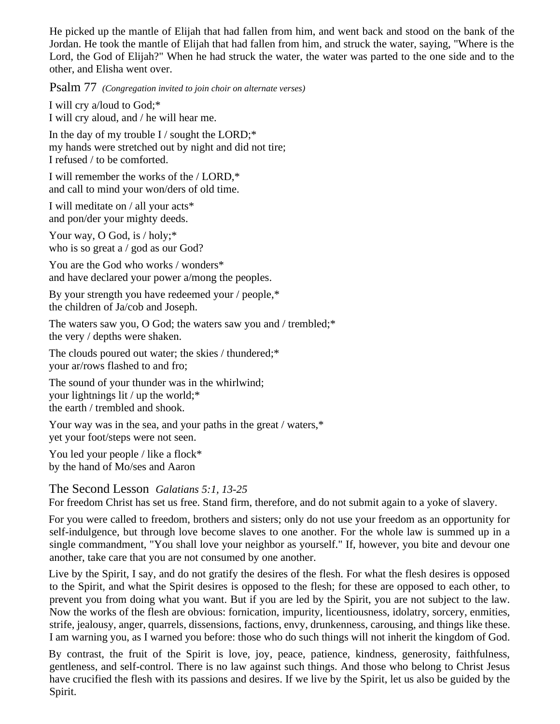He picked up the mantle of Elijah that had fallen from him, and went back and stood on the bank of the Jordan. He took the mantle of Elijah that had fallen from him, and struck the water, saying, "Where is the Lord, the God of Elijah?" When he had struck the water, the water was parted to the one side and to the other, and Elisha went over.

Psalm 77 *(Congregation invited to join choir on alternate verses)*

I will cry a/loud to God;\* I will cry aloud, and / he will hear me.

In the day of my trouble I / sought the LORD; $*$ my hands were stretched out by night and did not tire; I refused / to be comforted.

I will remember the works of the / LORD,\* and call to mind your won/ders of old time.

I will meditate on / all your acts\* and pon/der your mighty deeds.

Your way, O God, is / holy;\* who is so great a / god as our God?

You are the God who works / wonders\* and have declared your power a/mong the peoples.

By your strength you have redeemed your / people,\* the children of Ja/cob and Joseph.

The waters saw you, O God; the waters saw you and / trembled;\* the very / depths were shaken.

The clouds poured out water; the skies / thundered;\* your ar/rows flashed to and fro;

The sound of your thunder was in the whirlwind; your lightnings lit / up the world;\* the earth / trembled and shook.

Your way was in the sea, and your paths in the great / waters,\* yet your foot/steps were not seen.

You led your people / like a flock\* by the hand of Mo/ses and Aaron

The Second Lesson *Galatians 5:1, 13-25*

For freedom Christ has set us free. Stand firm, therefore, and do not submit again to a yoke of slavery.

For you were called to freedom, brothers and sisters; only do not use your freedom as an opportunity for self-indulgence, but through love become slaves to one another. For the whole law is summed up in a single commandment, "You shall love your neighbor as yourself." If, however, you bite and devour one another, take care that you are not consumed by one another.

Live by the Spirit, I say, and do not gratify the desires of the flesh. For what the flesh desires is opposed to the Spirit, and what the Spirit desires is opposed to the flesh; for these are opposed to each other, to prevent you from doing what you want. But if you are led by the Spirit, you are not subject to the law. Now the works of the flesh are obvious: fornication, impurity, licentiousness, idolatry, sorcery, enmities, strife, jealousy, anger, quarrels, dissensions, factions, envy, drunkenness, carousing, and things like these. I am warning you, as I warned you before: those who do such things will not inherit the kingdom of God.

By contrast, the fruit of the Spirit is love, joy, peace, patience, kindness, generosity, faithfulness, gentleness, and self-control. There is no law against such things. And those who belong to Christ Jesus have crucified the flesh with its passions and desires. If we live by the Spirit, let us also be guided by the Spirit.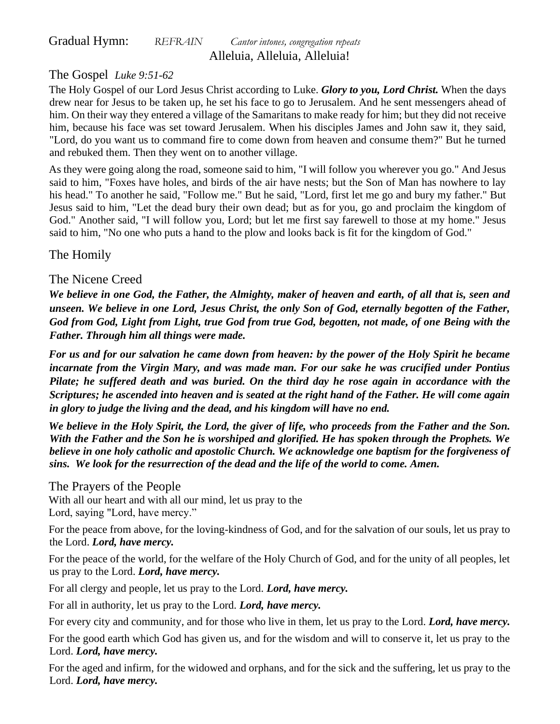Gradual Hymn: *REFRAIN Cantor intones, congregation repeats* Alleluia, Alleluia, Alleluia!

# The Gospel *Luke 9:51-62*

The Holy Gospel of our Lord Jesus Christ according to Luke. *Glory to you, Lord Christ.* When the days drew near for Jesus to be taken up, he set his face to go to Jerusalem. And he sent messengers ahead of him. On their way they entered a village of the Samaritans to make ready for him; but they did not receive him, because his face was set toward Jerusalem. When his disciples James and John saw it, they said, "Lord, do you want us to command fire to come down from heaven and consume them?" But he turned and rebuked them. Then they went on to another village.

As they were going along the road, someone said to him, "I will follow you wherever you go." And Jesus said to him, "Foxes have holes, and birds of the air have nests; but the Son of Man has nowhere to lay his head." To another he said, "Follow me." But he said, "Lord, first let me go and bury my father." But Jesus said to him, "Let the dead bury their own dead; but as for you, go and proclaim the kingdom of God." Another said, "I will follow you, Lord; but let me first say farewell to those at my home." Jesus said to him, "No one who puts a hand to the plow and looks back is fit for the kingdom of God."

The Homily

# The Nicene Creed

*We believe in one God, the Father, the Almighty, maker of heaven and earth, of all that is, seen and unseen. We believe in one Lord, Jesus Christ, the only Son of God, eternally begotten of the Father, God from God, Light from Light, true God from true God, begotten, not made, of one Being with the Father. Through him all things were made.* 

*For us and for our salvation he came down from heaven: by the power of the Holy Spirit he became incarnate from the Virgin Mary, and was made man. For our sake he was crucified under Pontius Pilate; he suffered death and was buried. On the third day he rose again in accordance with the Scriptures; he ascended into heaven and is seated at the right hand of the Father. He will come again in glory to judge the living and the dead, and his kingdom will have no end.* 

*We believe in the Holy Spirit, the Lord, the giver of life, who proceeds from the Father and the Son. With the Father and the Son he is worshiped and glorified. He has spoken through the Prophets. We believe in one holy catholic and apostolic Church. We acknowledge one baptism for the forgiveness of sins. We look for the resurrection of the dead and the life of the world to come. Amen.* 

# The Prayers of the People

With all our heart and with all our mind, let us pray to the Lord, saying "Lord, have mercy."

For the peace from above, for the loving-kindness of God, and for the salvation of our souls, let us pray to the Lord. *Lord, have mercy.*

For the peace of the world, for the welfare of the Holy Church of God, and for the unity of all peoples, let us pray to the Lord. *Lord, have mercy.*

For all clergy and people, let us pray to the Lord. *Lord, have mercy.*

For all in authority, let us pray to the Lord. *Lord, have mercy.*

For every city and community, and for those who live in them, let us pray to the Lord. *Lord, have mercy.*

For the good earth which God has given us, and for the wisdom and will to conserve it, let us pray to the Lord. *Lord, have mercy.*

For the aged and infirm, for the widowed and orphans, and for the sick and the suffering, let us pray to the Lord. *Lord, have mercy.*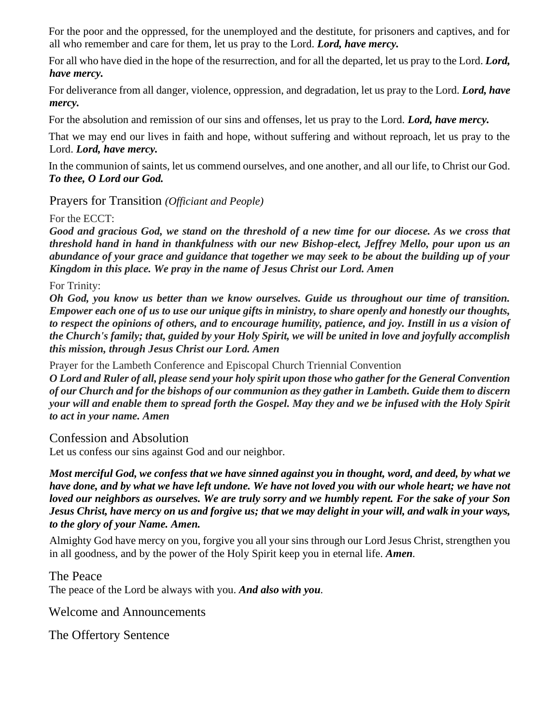For the poor and the oppressed, for the unemployed and the destitute, for prisoners and captives, and for all who remember and care for them, let us pray to the Lord. *Lord, have mercy.*

For all who have died in the hope of the resurrection, and for all the departed, let us pray to the Lord. *Lord, have mercy.*

For deliverance from all danger, violence, oppression, and degradation, let us pray to the Lord. *Lord, have mercy.*

For the absolution and remission of our sins and offenses, let us pray to the Lord. *Lord, have mercy.*

That we may end our lives in faith and hope, without suffering and without reproach, let us pray to the Lord. *Lord, have mercy.*

In the communion of saints, let us commend ourselves, and one another, and all our life, to Christ our God. *To thee, O Lord our God.*

Prayers for Transition *(Officiant and People)*

For the ECCT:

*Good and gracious God, we stand on the threshold of a new time for our diocese. As we cross that threshold hand in hand in thankfulness with our new Bishop-elect, Jeffrey Mello, pour upon us an abundance of your grace and guidance that together we may seek to be about the building up of your Kingdom in this place. We pray in the name of Jesus Christ our Lord. Amen*

For Trinity:

*Oh God, you know us better than we know ourselves. Guide us throughout our time of transition. Empower each one of us to use our unique gifts in ministry, to share openly and honestly our thoughts, to respect the opinions of others, and to encourage humility, patience, and joy. Instill in us a vision of the Church's family; that, guided by your Holy Spirit, we will be united in love and joyfully accomplish this mission, through Jesus Christ our Lord. Amen*

Prayer for the Lambeth Conference and Episcopal Church Triennial Convention

*O Lord and Ruler of all, please send your holy spirit upon those who gather for the General Convention of our Church and for the bishops of our communion as they gather in Lambeth. Guide them to discern your will and enable them to spread forth the Gospel. May they and we be infused with the Holy Spirit to act in your name. Amen*

Confession and Absolution

Let us confess our sins against God and our neighbor.

*Most merciful God, we confess that we have sinned against you in thought, word, and deed, by what we have done, and by what we have left undone. We have not loved you with our whole heart; we have not loved our neighbors as ourselves. We are truly sorry and we humbly repent. For the sake of your Son Jesus Christ, have mercy on us and forgive us; that we may delight in your will, and walk in your ways, to the glory of your Name. Amen.*

Almighty God have mercy on you, forgive you all your sins through our Lord Jesus Christ, strengthen you in all goodness, and by the power of the Holy Spirit keep you in eternal life. *Amen.*

The Peace The peace of the Lord be always with you. *And also with you.*

Welcome and Announcements

The Offertory Sentence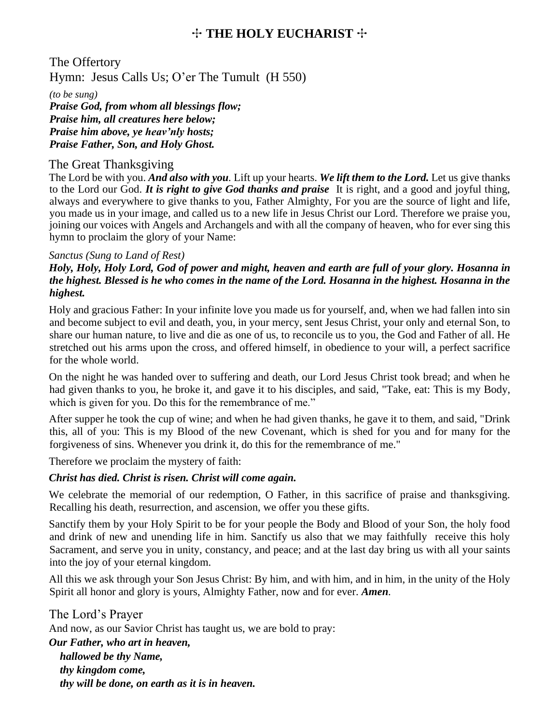# ✣ **THE HOLY EUCHARIST** ✣

The Offertory Hymn: Jesus Calls Us; O'er The Tumult (H 550)

*(to be sung)*

*Praise God, from whom all blessings flow; Praise him, all creatures here below; Praise him above, ye heav'nly hosts; Praise Father, Son, and Holy Ghost.*

## The Great Thanksgiving

The Lord be with you. *And also with you.* Lift up your hearts. *We lift them to the Lord.* Let us give thanks to the Lord our God. *It is right to give God thanks and praise* It is right, and a good and joyful thing, always and everywhere to give thanks to you, Father Almighty, For you are the source of light and life, you made us in your image, and called us to a new life in Jesus Christ our Lord. Therefore we praise you, joining our voices with Angels and Archangels and with all the company of heaven, who for ever sing this hymn to proclaim the glory of your Name:

## *Sanctus (Sung to Land of Rest)*

## *Holy, Holy, Holy Lord, God of power and might, heaven and earth are full of your glory. Hosanna in the highest. Blessed is he who comes in the name of the Lord. Hosanna in the highest. Hosanna in the highest.*

Holy and gracious Father: In your infinite love you made us for yourself, and, when we had fallen into sin and become subject to evil and death, you, in your mercy, sent Jesus Christ, your only and eternal Son, to share our human nature, to live and die as one of us, to reconcile us to you, the God and Father of all. He stretched out his arms upon the cross, and offered himself, in obedience to your will, a perfect sacrifice for the whole world.

On the night he was handed over to suffering and death, our Lord Jesus Christ took bread; and when he had given thanks to you, he broke it, and gave it to his disciples, and said, "Take, eat: This is my Body, which is given for you. Do this for the remembrance of me."

After supper he took the cup of wine; and when he had given thanks, he gave it to them, and said, "Drink this, all of you: This is my Blood of the new Covenant, which is shed for you and for many for the forgiveness of sins. Whenever you drink it, do this for the remembrance of me."

Therefore we proclaim the mystery of faith:

## *Christ has died. Christ is risen. Christ will come again.*

We celebrate the memorial of our redemption, O Father, in this sacrifice of praise and thanksgiving. Recalling his death, resurrection, and ascension, we offer you these gifts.

Sanctify them by your Holy Spirit to be for your people the Body and Blood of your Son, the holy food and drink of new and unending life in him. Sanctify us also that we may faithfully receive this holy Sacrament, and serve you in unity, constancy, and peace; and at the last day bring us with all your saints into the joy of your eternal kingdom.

All this we ask through your Son Jesus Christ: By him, and with him, and in him, in the unity of the Holy Spirit all honor and glory is yours, Almighty Father, now and for ever. *Amen.*

The Lord's Prayer And now, as our Savior Christ has taught us, we are bold to pray: *Our Father, who art in heaven, hallowed be thy Name, thy kingdom come, thy will be done, on earth as it is in heaven.*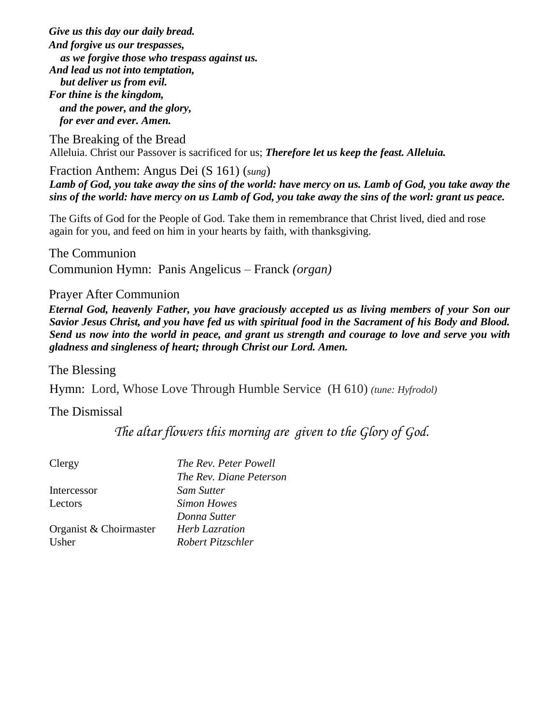*Give us this day our daily bread. And forgive us our trespasses, as we forgive those who trespass against us. And lead us not into temptation, but deliver us from evil. For thine is the kingdom, and the power, and the glory, for ever and ever. Amen.* 

The Breaking of the Bread Alleluia. Christ our Passover is sacrificed for us; *Therefore let us keep the feast. Alleluia.*

Fraction Anthem: Angus Dei (S 161) (*sung*) *Lamb of God, you take away the sins of the world: have mercy on us. Lamb of God, you take away the sins of the world: have mercy on us Lamb of God, you take away the sins of the worl: grant us peace.*

The Gifts of God for the People of God. Take them in remembrance that Christ lived, died and rose again for you, and feed on him in your hearts by faith, with thanksgiving.

The Communion Communion Hymn: Panis Angelicus – Franck *(organ)*

Prayer After Communion

*Eternal God, heavenly Father, you have graciously accepted us as living members of your Son our Savior Jesus Christ, and you have fed us with spiritual food in the Sacrament of his Body and Blood. Send us now into the world in peace, and grant us strength and courage to love and serve you with gladness and singleness of heart; through Christ our Lord. Amen.* 

The Blessing

Hymn: Lord, Whose Love Through Humble Service (H 610) *(tune: Hyfrodol)*

# The Dismissal

*The altar flowers this morning are given to the Glory of God.*

| The Rev. Peter Powell   |
|-------------------------|
| The Rev. Diane Peterson |
| Sam Sutter              |
| Simon Howes             |
| Donna Sutter            |
| <b>Herb Lazration</b>   |
| Robert Pitzschler       |
|                         |